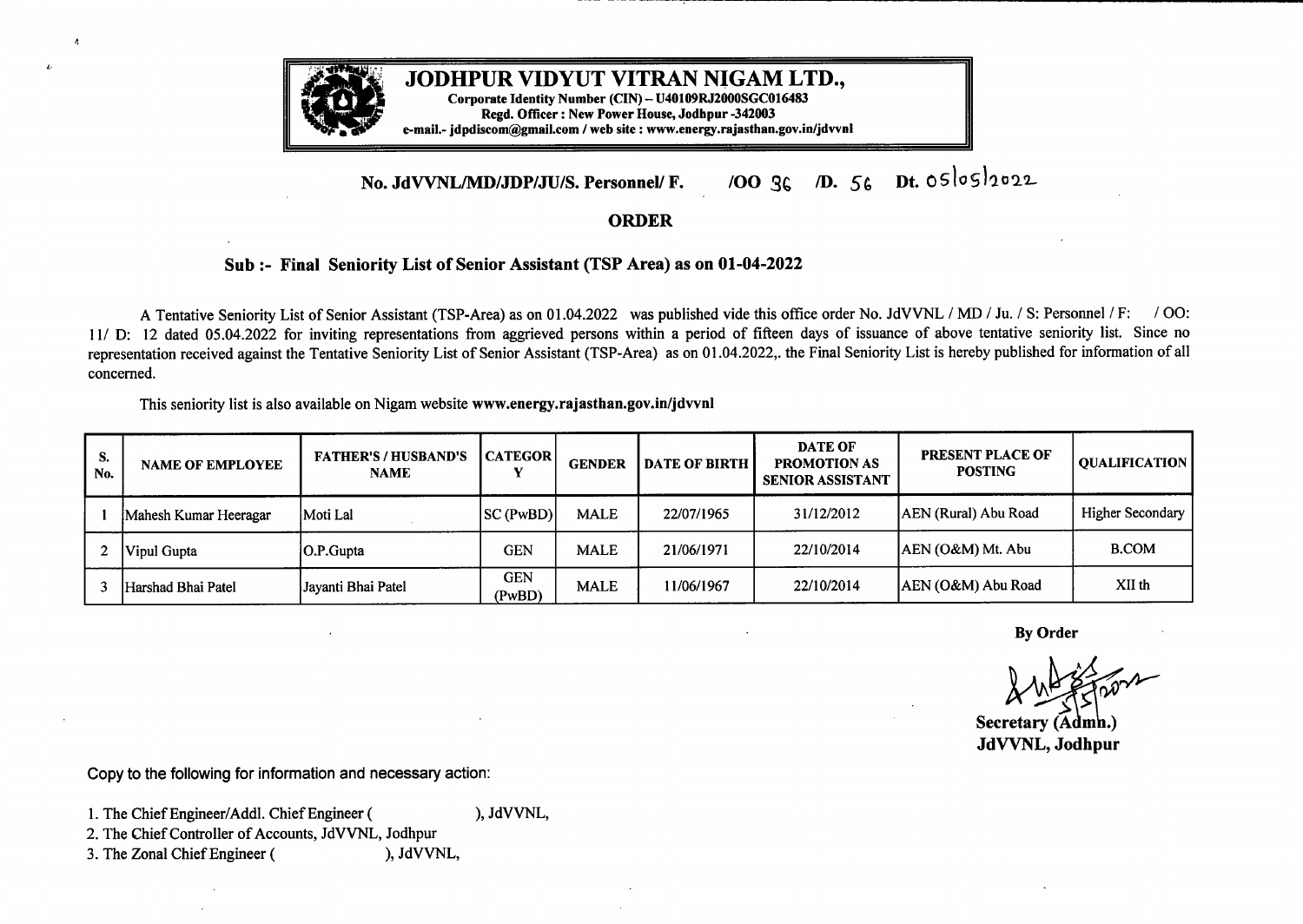

*L*

## **JODHPUR VIDYUT VITRAN NIGAM LTD.,**

**Corporate Identity Number (CIN) - U40109R.J2000SGC016483 Regd. Officer : New Power House, Jodhpur -342003 e-mail.- jdpdiscom@gmail.com / web site : www.energy.rajasthan.gov.in/jdvvnl**

## **No. JdVVNL/MD/JDP/JU/S. Personnel/ F.** /00 3 ° *m s* Dt. oslosl"02.2.... · <sup>G</sup> *<sup>+</sup>*

## **ORDER**

## **Sub:- Final Seniority List of Senior Assistant (TSP Area) as on 01-04-2022**

<sup>A</sup> Tentative Seniority List of Senior Assistant (TSP-Area) as on <sup>0</sup> 1.04.2022 was published vide this office order No. JdVVNL / MD / Ju. / S: Personnel / F: / 00: 11/D: <sup>12</sup> dated 05.04.2022 for inviting representations from aggrieved persons within <sup>a</sup> period of fifteen days of issuance of above tentative seniority list. Since no representation received against the Tentative Seniority List of Senior Assistant (TSP-Area) as on 01.04.2022,. the Final Seniority List is hereby published for information of all concerned.

This seniority list is also available on Nigam website **www.energy.rajasthan.gov.in/jdvvnl**

| S.<br>No. | <b>NAME OF EMPLOYEE</b> | <b>FATHER'S / HUSBAND'S</b><br><b>NAME</b> | l CATEGOR l          | <b>GENDER</b> | <b>DATE OF BIRTH</b> | <b>DATE OF</b><br><b>PROMOTION AS</b><br><b>SENIOR ASSISTANT</b> | <b>PRESENT PLACE OF</b><br><b>POSTING</b> | OUALIFICATION           |
|-----------|-------------------------|--------------------------------------------|----------------------|---------------|----------------------|------------------------------------------------------------------|-------------------------------------------|-------------------------|
|           | Mahesh Kumar Heeragar   | Moti Lal                                   | <b>SC (PwBD)</b>     | <b>MALE</b>   | 22/07/1965           | 31/12/2012                                                       | AEN (Rural) Abu Road                      | <b>Higher Secondary</b> |
|           | Vipul Gupta             | O.P.Gupta                                  | <b>GEN</b>           | <b>MALE</b>   | 21/06/1971           | 22/10/2014                                                       | AEN (O&M) Mt. Abu                         | <b>B.COM</b>            |
|           | Harshad Bhai Patel      | Jayanti Bhai Patel                         | <b>GEN</b><br>(PwBD) | <b>MALE</b>   | 11/06/1967           | 22/10/2014                                                       | AEN (O&M) Abu Road                        | XII th                  |

**By Order**

By Order<br>By Order<br>AMA Contractor

XV<br>Secretary<br>LAVANI **Jd VVN L,Jodhpur**

Copy to the following for information and necessary action:

1. The Chief Engineer/Addl. Chief Engineer ( ), JdVVNL,

2. The Chief Controller of Accounts, JdVVNL, Jodhpur<br>3. The Zonal Chief Engineer (), JdVVNL,

3. The Zonal Chief Engineer (